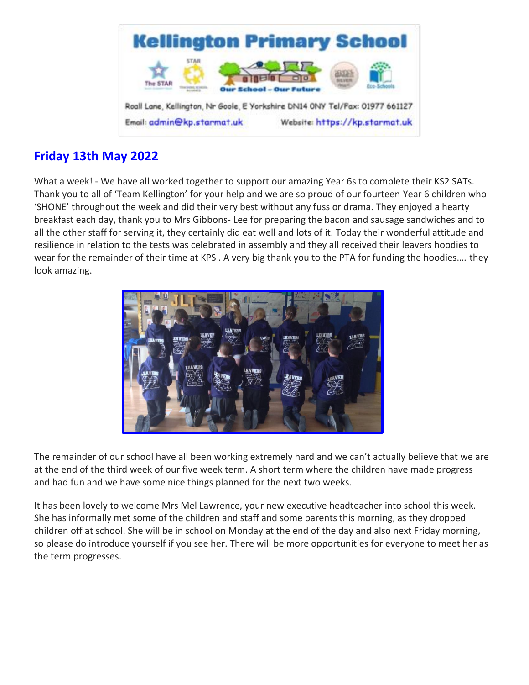

# **Friday 13th May 2022**

What a week! - We have all worked together to support our amazing Year 6s to complete their KS2 SATs. Thank you to all of 'Team Kellington' for your help and we are so proud of our fourteen Year 6 children who 'SHONE' throughout the week and did their very best without any fuss or drama. They enjoyed a hearty breakfast each day, thank you to Mrs Gibbons- Lee for preparing the bacon and sausage sandwiches and to all the other staff for serving it, they certainly did eat well and lots of it. Today their wonderful attitude and resilience in relation to the tests was celebrated in assembly and they all received their leavers hoodies to wear for the remainder of their time at KPS . A very big thank you to the PTA for funding the hoodies…. they look amazing.



The remainder of our school have all been working extremely hard and we can't actually believe that we are at the end of the third week of our five week term. A short term where the children have made progress and had fun and we have some nice things planned for the next two weeks.

It has been lovely to welcome Mrs Mel Lawrence, your new executive headteacher into school this week. She has informally met some of the children and staff and some parents this morning, as they dropped children off at school. She will be in school on Monday at the end of the day and also next Friday morning, so please do introduce yourself if you see her. There will be more opportunities for everyone to meet her as the term progresses.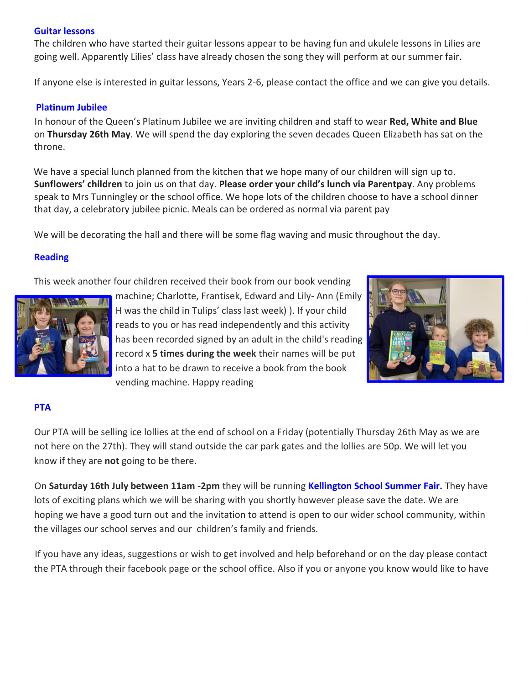## **Guitar lessons**

The children who have started their guitar lessons appear to be having fun and ukulele lessons in Lilies are going well. Apparently Lilies' class have already chosen the song they will perform at our summer fair.

If anyone else is interested in guitar lessons, Years 2-6, please contact the office and we can give you details.

# **Platinum Jubilee**

In honour of the Queen's Platinum Jubilee we are inviting children and staff to wear **Red, White and Blue** on **Thursday 26th May**. We will spend the day exploring the seven decades Queen Elizabeth has sat on the throne.

We have a special lunch planned from the kitchen that we hope many of our children will sign up to. **Sunflowers' children** to join us on that day. **Please order your child's lunch via Parentpay**. Any problems speak to Mrs Tunningley or the school office. We hope lots of the children choose to have a school dinner that day, a celebratory jubilee picnic. Meals can be ordered as normal via parent pay

We will be decorating the hall and there will be some flag waving and music throughout the day.

# **Reading**

This week another four children received their book from our book vending



machine; Charlotte, Frantisek, Edward and Lily- Ann (Emily H was the child in Tulips' class last week) ). If your child reads to you or has read independently and this activity has been recorded signed by an adult in the child's reading record x **5 times during the week** their names will be put into a hat to be drawn to receive a book from the book vending machine. Happy reading



## **PTA**

Our PTA will be selling ice lollies at the end of school on a Friday (potentially Thursday 26th May as we are not here on the 27th). They will stand outside the car park gates and the lollies are 50p. We will let you know if they are **not** going to be there.

On **Saturday 16th July between 11am -2pm** they will be running **Kellington School Summer Fair.** They have lots of exciting plans which we will be sharing with you shortly however please save the date. We are hoping we have a good turn out and the invitation to attend is open to our wider school community, within the villages our school serves and our children's family and friends.

If you have any ideas, suggestions or wish to get involved and help beforehand or on the day please contact the PTA through their facebook page or the school office. Also if you or anyone you know would like to have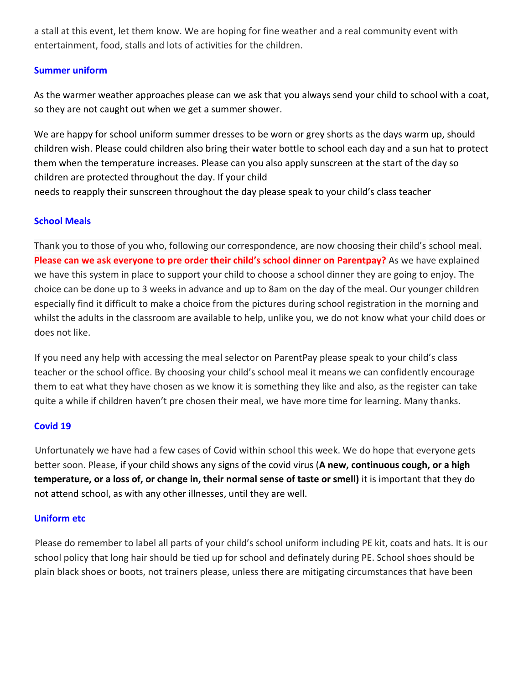a stall at this event, let them know. We are hoping for fine weather and a real community event with entertainment, food, stalls and lots of activities for the children.

# **Summer uniform**

As the warmer weather approaches please can we ask that you always send your child to school with a coat, so they are not caught out when we get a summer shower.

We are happy for school uniform summer dresses to be worn or grey shorts as the days warm up, should children wish. Please could children also bring their water bottle to school each day and a sun hat to protect them when the temperature increases. Please can you also apply sunscreen at the start of the day so children are protected throughout the day. If your child needs to reapply their sunscreen throughout the day please speak to your child's class teacher

# **School Meals**

Thank you to those of you who, following our correspondence, are now choosing their child's school meal. **Please can we ask everyone to pre order their child's school dinner on Parentpay?** As we have explained we have this system in place to support your child to choose a school dinner they are going to enjoy. The choice can be done up to 3 weeks in advance and up to 8am on the day of the meal. Our younger children especially find it difficult to make a choice from the pictures during school registration in the morning and whilst the adults in the classroom are available to help, unlike you, we do not know what your child does or does not like.

If you need any help with accessing the meal selector on ParentPay please speak to your child's class teacher or the school office. By choosing your child's school meal it means we can confidently encourage them to eat what they have chosen as we know it is something they like and also, as the register can take quite a while if children haven't pre chosen their meal, we have more time for learning. Many thanks.

## **Covid 19**

Unfortunately we have had a few cases of Covid within school this week. We do hope that everyone gets better soon. Please, if your child shows any signs of the covid virus (**A new, continuous cough, or a high temperature, or a loss of, or change in, their normal sense of taste or smell)** it is important that they do not attend school, as with any other illnesses, until they are well.

## **Uniform etc**

Please do remember to label all parts of your child's school uniform including PE kit, coats and hats. It is our school policy that long hair should be tied up for school and definately during PE. School shoes should be plain black shoes or boots, not trainers please, unless there are mitigating circumstances that have been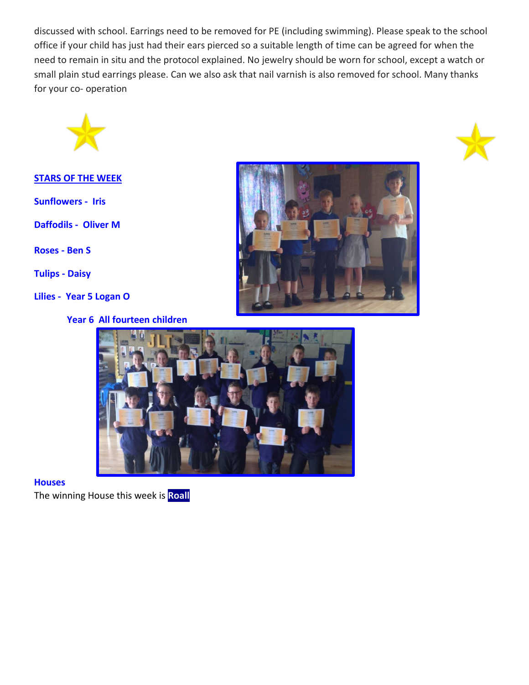discussed with school. Earrings need to be removed for PE (including swimming). Please speak to the school office if your child has just had their ears pierced so a suitable length of time can be agreed for when the need to remain in situ and the protocol explained. No jewelry should be worn for school, except a watch or small plain stud earrings please. Can we also ask that nail varnish is also removed for school. Many thanks for your co- operation



## **STARS OF THE WEEK**

**Sunflowers - Iris** 

**Daffodils - Oliver M** 

**Roses - Ben S**

**Tulips - Daisy**

**Lilies - Year 5 Logan O** 







#### **Houses**

The winning House this week is **Roall**

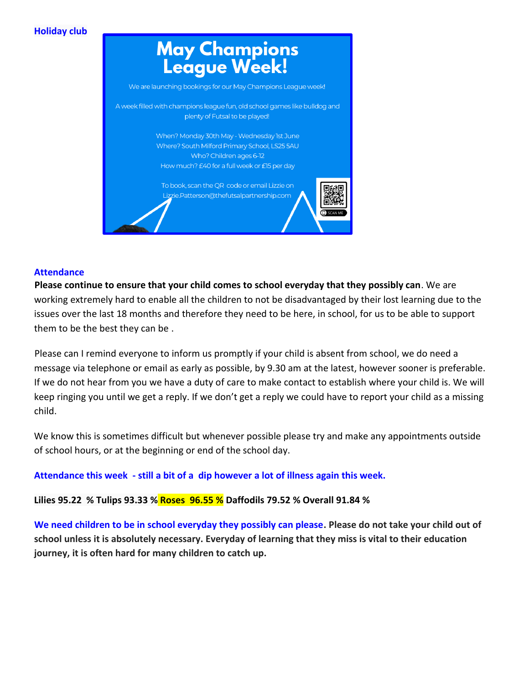# **Holiday club**



#### **Attendance**

**Please continue to ensure that your child comes to school everyday that they possibly can**. We are working extremely hard to enable all the children to not be disadvantaged by their lost learning due to the issues over the last 18 months and therefore they need to be here, in school, for us to be able to support them to be the best they can be .

Please can I remind everyone to inform us promptly if your child is absent from school, we do need a message via telephone or email as early as possible, by 9.30 am at the latest, however sooner is preferable. If we do not hear from you we have a duty of care to make contact to establish where your child is. We will keep ringing you until we get a reply. If we don't get a reply we could have to report your child as a missing child.

We know this is sometimes difficult but whenever possible please try and make any appointments outside of school hours, or at the beginning or end of the school day.

**Attendance this week - still a bit of a dip however a lot of illness again this week.**

**Lilies 95.22 % Tulips 93.33 % Roses 96.55 % Daffodils 79.52 % Overall 91.84 %**

**We need children to be in school everyday they possibly can please. Please do not take your child out of school unless it is absolutely necessary. Everyday of learning that they miss is vital to their education journey, it is often hard for many children to catch up.**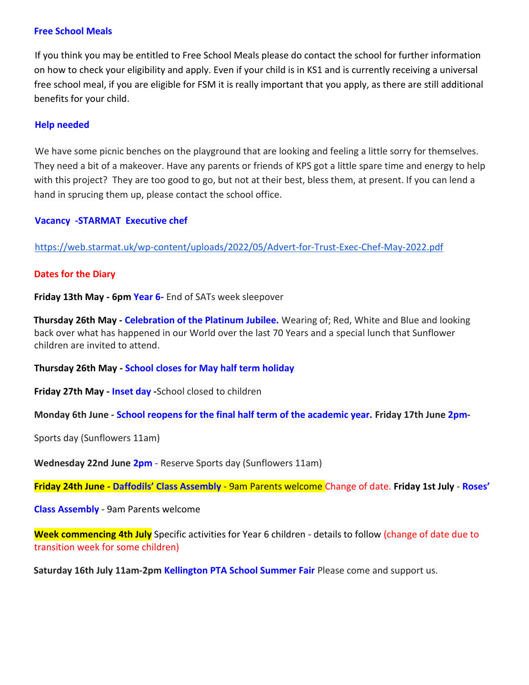#### **Free School Meals**

If you think you may be entitled to Free School Meals please do contact the school for further information on how to check your eligibility and apply. Even if your child is in KS1 and is currently receiving a universal free school meal, if you are eligible for FSM it is really important that you apply, as there are still additional benefits for your child.

#### **Help needed**

We have some picnic benches on the playground that are looking and feeling a little sorry for themselves. They need a bit of a makeover. Have any parents or friends of KPS got a little spare time and energy to help with this project? They are too good to go, but not at their best, bless them, at present. If you can lend a hand in sprucing them up, please contact the school office.

#### **Vacancy -STARMAT Executive chef**

<https://web.starmat.uk/wp-content/uploads/2022/05/Advert-for-Trust-Exec-Chef-May-2022.pdf>

#### **Dates for the Diary**

**Friday 13th May - 6pm Year 6-** End of SATs week sleepover

**Thursday 26th May - Celebration of the Platinum Jubilee.** Wearing of; Red, White and Blue and looking back over what has happened in our World over the last 70 Years and a special lunch that Sunflower children are invited to attend.

**Thursday 26th May - School closes for May half term holiday** 

**Friday 27th May - Inset day -**School closed to children

**Monday 6th June - School reopens for the final half term of the academic year. Friday 17th June 2pm-**

Sports day (Sunflowers 11am)

**Wednesday 22nd June 2pm** - Reserve Sports day (Sunflowers 11am)

**Friday 24th June - Daffodils' Class Assembly** - 9am Parents welcome Change of date. **Friday 1st July** - **Roses'** 

**Class Assembly** - 9am Parents welcome

**Week commencing 4th July** Specific activities for Year 6 children - details to follow (change of date due to transition week for some children)

**Saturday 16th July 11am-2pm Kellington PTA School Summer Fair** Please come and support us.